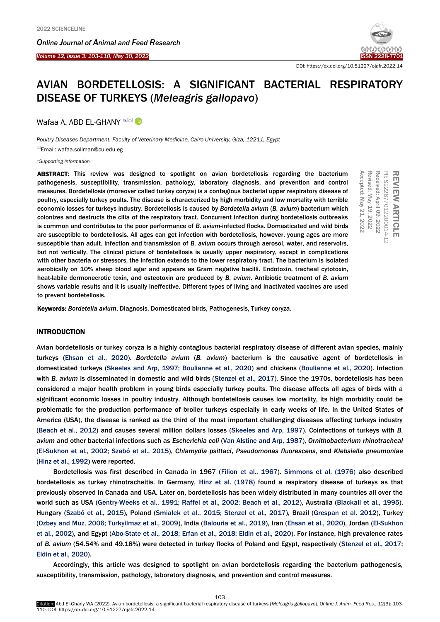*Online Journal of A[nimal and](http://www.ojafr.ir/main/) Feed Research*



DOI: https://dx.doi.org/10.51227/ojafr.2022.14

# AVIAN BORDETELLOSIS: A SIGNIFICANT BACTERIAL RESPIRATORY DISEASE OF TURKEYS (*Meleagris gallopavo*)

Wafaa A. ABD EL-GHANY <sup>A⊠</sup> D

*Poultry Diseases Department, Faculty of Veterinary Medicine, Cairo University, Giza, 12211, Egypt*

Email: [wafaa.soliman@cu.edu.eg](mailto:wafaa.ghany@yahoo.com)

#### *[Supporting Information](#page-5-0)*

ABSTRACT: This review was designed to spotlight on avian bordetellosis regarding the bacterium pathogenesis, susceptibility, transmission, pathology, laboratory diagnosis, and prevention and control measures. Bordetellosis (moreover called turkey coryza) is a contagious bacterial upper respiratory disease of poultry, especially turkey poults. The disease is characterized by high morbidity and low mortality with terrible economic losses for turkeys industry. Bordetellosis is caused by *Bordetella avium* (*B. avium*) bacterium which colonizes and destructs the cilia of the respiratory tract. Concurrent infection during bordetellosis outbreaks is common and contributes to the poor performance of *B. avium*-infected flocks. Domesticated and wild birds are susceptible to bordetellosis. All ages can get infection with bordetellosis, however, young ages are more susceptible than adult. Infection and transmission of *B. avium* occurs through aerosol, water, and reservoirs, but not vertically. The clinical picture of bordetellosis is usually upper respiratory, except in complications with other bacteria or stressors, the infection extends to the lower respiratory tract. The bacterium is isolated aerobically on 10% sheep blood agar and appears as Gram negative bacilli. Endotoxin, tracheal cytotoxin, heat-labile dermonecrotic toxin, and osteotoxin are produced by *B. avium*. Antibiotic treatment of *B. avium* shows variable results and it is usually ineffective. Different types of living and inactivated vaccines are used to prevent bordetellosis.

REVIEW ARTICLE PII: S222877012200014-12 S222877012200014-12 Received: April Received: April 09, 2022 Revised: May Revised: May 19, 2022 Accepted: May Accepted: May 21, 2022

Keywords: *Bordetella avium*, Diagnosis, Domesticated birds, Pathogenesis, Turkey coryza.

# INTRODUCTION

Avian bordetellosis or turkey coryza is a highly contagious bacterial respiratory disease of different avian species, mainly turkeys [\(Ehsan et al., 2020\).](#page-6-0) *Bordetella avium* (*B. avium*) bacterium is the causative agent of bordetellosis in domesticated turkeys [\(Skeeles and Arp, 1997; Boulianne et al., 2020\)](#page-6-0) and chickens [\(Boulianne et al., 2020\)](#page-6-0). Infection with *B. avium* is disseminated in domestic and wild bird[s \(Stenzel et al., 2017\). S](#page-6-0)ince the 1970s, bordetellosis has been considered a major health problem in young birds especially turkey poults. The disease affects all ages of birds with a significant economic losses in poultry industry. Although bordetellosis causes low mortality, its high morbidity could be problematic for the production performance of broiler turkeys especially in early weeks of life. In the United States of America (USA), the disease is ranked as the third of the most important challenging diseases affecting turkeys industry [\(Beach et al., 2012\)](#page-6-0) and causes several million dollars losses [\(Skeeles and Arp, 1997](#page-6-0)). Coinfections of turkeys with *B. avium* and other bacterial infections such as *Escherichia coli* [\(Van Alstine and Arp, 1987\),](#page-6-0) *Ornithobacterium rhinotracheal* [\(El-Sukhon et al., 2002; Szabó et al., 2015\),](#page-6-0) *Chlamydia psittaci*, *Pseudomonas fluorescens*, and *Klebsiella pneumoniae* [\(Hinz et al., 1992\)](#page-6-0) were reported.

Bordetellosis was first described in Canada in 1967 [\(Filion et al., 1967\). Simmons et al. \(1976\)](#page-6-0) also described bordetellosis as turkey rhinotracheitis. In Germany, [Hinz et al. \(1978\)](#page-6-0) found a respiratory disease of turkeys as that previously observed in Canada and USA. Later on, bordetellosis has been widely distributed in many countries all over the [world such as USA \(Gentry-Weeks et al., 1991; Raffel et al., 2002; Beach et al., 2012\), Australia \(Blackall et al., 1995\),](#page-6-0)  Hungary (Szabó et al., 2015), Poland (Smialek et al., 2015; Stenzel et al., 2017), Brazil (Grespan et al. 2012), Turkey (Ozbey and Muz, 2006; Türkyilmaz et al., 2009), India (Balouria et al., 2019), Iran (Ehsan et al., 2020), Jordan (El-Sukhon et al., 2002), and Egypt (Abo-State et al., 2018; Erfan et al., 2018; Eldin et al., 2020). For instance, high prevalence rates of *B. avium* (54.54% and 49.18%) were detected in turkey flocks of Poland and Egypt, respectively [\(Stenzel et al., 2017;](#page-6-0)  [Eldin et al., 2020\).](#page-6-0) 

Accordingly, this article was designed to spotlight on avian bordetellosis regarding the bacterium pathogenesis, susceptibility, transmission, pathology, laboratory diagnosis, and prevention and control measures.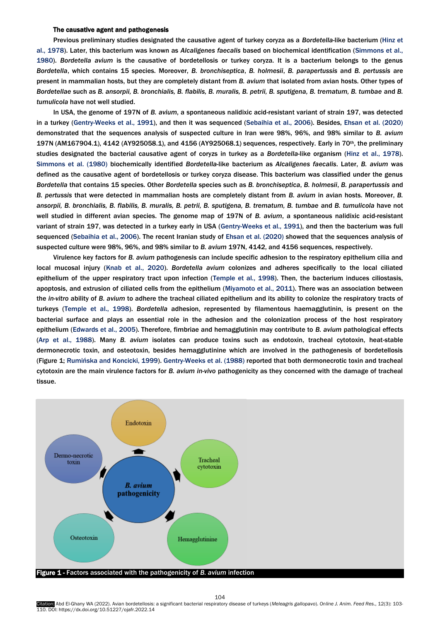# The causative agent and pathogenesis

Previous preliminary studies designated the causative agent of turkey coryza as a *Bordetella-*like bacterium [\(Hinz et](#page-6-0)  [al., 1978\).](#page-6-0) Later, this bacterium was known as *Alcaligenes faecalis* based on biochemical identificatio[n \(Simmons et al.,](#page-6-0)  1980). *Bordetella avium* is the causative of bordetellosis or turkey coryza. It is a bacterium belongs to the genus *Bordetella*, which contains 15 species. Moreover, *B. bronchiseptica*, *B. holmesii*, *B. parapertussis* and *B. pertussis* are present in mammalian hosts, but they are completely distant from *B. avium* that isolated from avian hosts. Other types of *Bordetellae* such as *B. ansorpii, B. bronchialis, B. flabilis, B. muralis, B. petrii, B. sputigena, B. trematum, B. tumbae* and *B. tumulicola* have not well studied.

In USA, the genome of 197N of *B. avium*, a spontaneous nalidixic acid-resistant variant of strain 197, was detected in a turkey [\(Gentry-Weeks et al., 1991\),](#page-6-0) and then it was sequenced [\(Sebaihia et al., 2006\).](#page-6-0) Besides, [Ehsan et al. \(2020\)](#page-6-0)  demonstrated that the sequences analysis of suspected culture in Iran were 98%, 96%, and 98% similar to *B. avium* 197N (AM167904.1), 4142 (AY925058.1), and 4156 (AY925068.1) sequences, respectively. Early in 70th, the preliminary studies designated the bacterial causative agent of coryzs in turkey as a *Bordetella-*like organis[m \(Hinz et al., 1978\).](#page-6-0)  [Simmons et al. \(1980\)](#page-6-0) biochemically identified *Bordetella-*like bacterium as *Alcaligenes faecalis*. Later, *B. avium* was defined as the causative agent of bordetellosis or turkey coryza disease. This bacterium was classified under the genus *Bordetella* that contains 15 species. Other *Bordetella* species such as *B. bronchiseptica*, *B. holmesii*, *B. parapertussis* and *B. pertussis* that were detected in mammalian hosts are completely distant from *B. avium* in avian hosts. Moreover, *B. ansorpii, B. bronchialis, B. flabilis, B. muralis, B. petrii, B. sputigena, B. trematum, B. tumbae* and *B. tumulicola* have not well studied in different avian species. The genome map of 197N of *B. avium*, a spontaneous nalidixic acid-resistant variant of strain 197, was detected in a turkey early in USA [\(Gentry-Weeks et al., 1991\),](#page-6-0) and then the bacterium was full sequenced [\(Sebaihia et al., 2006\).](#page-6-0) The recent Iranian study of [Ehsan et al. \(2020\)](#page-6-0) showed that the sequences analysis of suspected culture were 98%, 96%, and 98% similar to *B. avium* 197N, 4142, and 4156 sequences, respectively.

Virulence key factors for *B. avium* pathogenesis can include specific adhesion to the respiratory epithelium cilia and local mucosal injur[y \(Knab et al., 2020\).](#page-6-0) *Bordetella avium* colonizes and adheres specifically to the local ciliated epithelium of the upper respiratory tract upon infection [\(Temple et al., 1998\).](#page-6-0) Then, the bacterium induces ciliostasis, apoptosis, and extrusion of ciliated cells from the epithelium [\(Miyamoto et al., 2011\).](#page-6-0) There was an association between the *in-vitro* ability of *B. avium* to adhere the tracheal ciliated epithelium and its ability to colonize the respiratory tracts of turkeys [\(Temple et al., 1998\).](#page-6-0) *Bordetella* adhesion, represented by filamentous haemagglutinin, is present on the bacterial surface and plays an essential role in the adhesion and the colonization process of the host respiratory epitheliu[m \(Edwards et al., 2005\).](#page-6-0) Therefore, fimbriae and hemagglutinin may contribute to *B. avium* pathological effects [\(Arp et al., 1988\).](#page-6-0) Many *B. avium* isolates can produce toxins such as endotoxin, tracheal cytotoxin, heat-stable dermonecrotic toxin, and osteotoxin, besides hemagglutinine which are involved in the pathogenesis of bordetellosis (Figure 1; [Rumińska and Koncicki, 1999](#page-6-0)). Gentry-Weeks et al. (1988) reported that both dermonecrotic toxin and tracheal cytotoxin are the main virulence factors for *B. avium in-vivo* pathogenicity as they concerned with the damage of tracheal tissue.

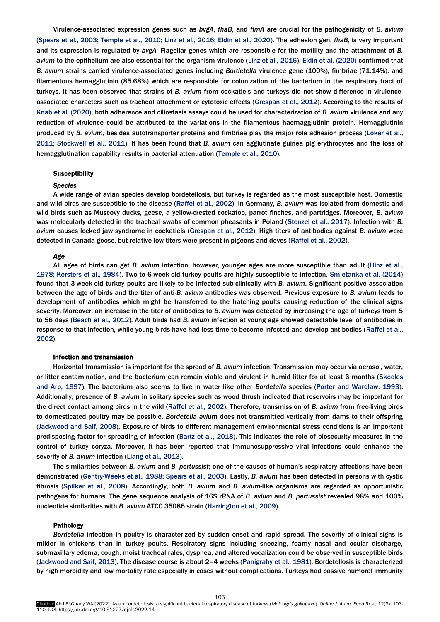Virulence-associated expression genes such as *bvgA*, *fhaB*, and *fimA* are crucial for the pathogenicity of *B. avium* [\(Spears et al., 2003; Temple et al., 2010; Linz et al., 2016; Eldin et al., 2020\).](#page-6-0) The adhesion gen, *fhaB*, is very important and its expression is regulated by *bvgA.* Flagellar genes which are responsible for the motility and the attachment of *B. avium* to the epithelium are also essential for the organism virulence [\(Linz et al., 2016\). Eldin et al. \(2020\)](#page-6-0) confirmed that *B. avium* strains carried virulence-associated genes including *Bordetella* virulence gene (100%), fimbriae (71.14%), and filamentous hemagglutinin (85.68%) which are responsible for colonization of the bacterium in the respiratory tract of turkeys. It has been observed that strains of *B. avium* from cockatiels and turkeys did not show difference in virulenceassociated characters such as tracheal attachment or cytotoxic effect[s \(Grespan et al., 2012\).](#page-6-0) According to the results of [Knab et al. \(2020\),](#page-6-0) both adherence and ciliostasis assays could be used for characterization of *B. avium* virulence and any reduction of virulence could be attributed to the variations in the filamentous haemagglutinin protein. Hemagglutinin produced by *B. avium*, besides autotransporter proteins and fimbriae play the major role adhesion process [\(Loker et al.,](#page-6-0)  [2011; Stockwell et al., 2011\).](#page-6-0) It has been found that *B. avium* can agglutinate guinea pig erythrocytes and the loss of hemagglutination capability results in bacterial attenuatio[n \(Temple et al.,](#page-6-0) 2010).

# **Susceptibility**

#### *Species*

A wide range of avian species develop bordetellosis, but turkey is regarded as the most susceptible host. Domestic and wild birds are susceptible to the disease [\(Raffel et al., 2002\).](#page-6-0) In Germany, *B. avium* was isolated from domestic and wild birds such as Muscovy ducks, geese, a yellow-crested cockatoo, parrot finches, and partridges. Moreover, *B. avium*  was molecularly detected in the tracheal swabs of common pheasants in Polan[d \(Stenzel et al., 2017\).](#page-6-0) Infection with *B. avium* causes locked jaw syndrome in cockatiels [\(Grespan et al., 2012\).](#page-6-0) High titers of antibodies against *B. avium* were detected in Canada goose, but relative low titers were present in pigeons and doves [\(Raffel et al., 2002\).](#page-6-0) 

# *Age*

All ages of birds can get *B. avium* infection, however, younger ages are more susceptible than adult [\(Hinz et al.,](#page-6-0)  1[978; Kersters et al., 198](#page-6-0)4). Two to 6-week-old turkey poults are highly susceptible to infection. [Smietanka et al. \(2014\)](#page-6-0)  found that 3-week-old turkey poults are likely to be infected sub-clinically with *B. avium*. Significant positive association between the age of birds and the titer of anti-*B. avium* antibodies was observed. Previous exposure to *B. avium* leads to development of antibodies which might be transferred to the hatching poults causing reduction of the clinical signs severity. Moreover, an increase in the titer of antibodies to *B. avium* was detected by increasing the age of turkeys from 5 to 56 days [\(Beach et al., 2012\).](#page-6-0) Adult birds had *B. avium* infection at young age showed detectable level of antibodies in response to that infection, while young birds have had less time to become infected and develop antibodies [\(Raffel et al.,](#page-6-0)  2002).

# Infection and transmission

Horizontal transmission is important for the spread of *B. avium* infection. Transmission may occur via aerosol, water, or litter contamination, and the bacterium can remain viable and virulent in humid litter for at least 6 months (Skeeles [and Arp, 1997\).](#page-6-0) The bacterium also seems to live in water like other *Bordetella* species [\(Porter and Wardlaw, 1993\).](#page-6-0)  Additionally, presence of *B. avium* in solitary species such as wood thrush indicated that reservoirs may be important for the direct contact among birds in the wild [\(Raffel et al., 2002\).](#page-6-0) Therefore, transmission of *B. avium* from free-living birds to domesticated poultry may be possible. *Bordetella avium* does not transmitted vertically from dams to their offspring ([Jackwood and Saif, 200](#page-6-0)8). Exposure of birds to different management environmental stress conditions is an important predisposing factor for spreading of infection [\(Bartz et al., 2018\).](#page-6-0) This indicates the role of biosecurity measures in the control of turkey coryza. Moreover, it has been reported that immunosuppressive viral infections could enhance the severity of *B. avium* infection [\(Liang et al., 2013\).](#page-6-0) 

The similarities between *B. avium* and *B. pertussist*; one of the causes of human's respiratory affections have been demonstrated (Gentry-Weeks et al., [1988; Spears et al., 2003\).](#page-6-0) Lastly, *B. avium* has been detected in persons with cystic fibrosis [\(Spilker et al., 2008\).](#page-6-0) Accordingly, both *B. avium* and *B. avium*-like organisms are regarded as opportunistic pathogens for humans. The gene sequence analysis of 16S rRNA of *B. avium* and *B. pertussist* revealed 98% and 100% nucleotide similarities with *B. avium* ATCC 35086 strain [\(Harrington et al., 2009\)](#page-6-0).

#### Pathology

*Bordetella* infection in poultry is characterized by sudden onset and rapid spread. The severity of clinical signs is milder in chickens than in turkey poults. Respiratory signs including sneezing, foamy nasal and ocular discharge, submaxillary edema, cough, moist tracheal rales, dyspnea, and altered vocalization could be observed in susceptible birds (J[ackwood and Saif, 2013](#page-6-0)). The disease course is about 2–4 weeks [\(Panigrahy et al., 1981\).](#page-6-0) Bordetellosis is characterized by high morbidity and low mortality rate especially in cases without complications. Turkeys had passive humoral immunity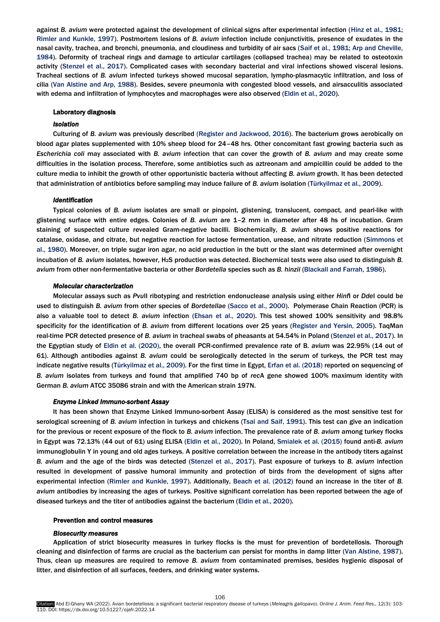against *B. avium* were protected against the development of clinical signs after experimental infection [\(Hinz et al., 1981;](#page-6-0)  [Rimler and Kunkle, 1997](#page-6-0)). Postmortem lesions of *B. avium* infection include conjunctivitis, presence of exudates in the nasal cavity, trachea, and bronchi, pneumonia, and cloudiness and turbidity of air sacs [\(Saif et al., 1981; Arp and Cheville,](#page-6-0)  1984). Deformity of tracheal rings and damage to articular cartilages (collapsed trachea) may be related to osteotoxin activity [\(Stenzel et al., 2017\).](#page-6-0) Complicated cases with secondary bacterial and viral infections showed visceral lesions. Tracheal sections of *B. avium* infected turkeys showed mucosal separation, lympho-plasmacytic infiltration, and loss of cilia [\(Van Alstine and Arp, 1988\).](#page-6-0) Besides, severe pneumonia with congested blood vessels, and airsacculitis associated with edema and infiltration of lymphocytes and macrophages were also observed [\(Eldin et al., 2020\).](#page-6-0) 

#### Laboratory diagnosis

# *Isolation*

Culturing of *B. avium* was previously described [\(Register and Jackwood, 2016\).](#page-6-0) The bacterium grows aerobically on blood agar plates supplemented with 10% sheep blood for 24–48 hrs. Other concomitant fast growing bacteria such as *Escherichia coli* may associated with *B. avium* infection that can cover the growth of *B. avium* and may create some difficulties in the isolation process. Therefore, some antibiotics such as aztreonam and ampicillin could be added to the culture media to inhibit the growth of other opportunistic bacteria without affecting *B. avium* growth. It has been detected that administration of antibiotics before sampling may induce failure of *B. avium* isolation [\(Türkyilmaz et al., 2009\).](#page-6-0) 

# *Identification*

Typical colonies of *B. avium* isolates are small or pinpoint, glistening, translucent, compact, and pearl-like with glistening surface with entire edges. Colonies of *B. avium* are 1–2 mm in diameter after 48 hs of incubation. Gram staining of suspected culture revealed Gram-negative bacilli. Biochemically, *B. avium* shows positive reactions for catalase, oxidase, and citrate, but negative reaction for lactose fermentation, urease, and nitrate reduction [\(Simmons et](#page-6-0)  [al., 1980\).](#page-6-0) Moreover, on triple sugar iron agar, no acid production in the butt or the slant was determined after overnight incubation of *B. avium* isolates, however, H2S production was detected. Biochemical tests were also used to distinguish *B. avium* from other non-fermentative bacteria or other *Bordetella* species such as *B. hinzii* [\(Blackall and Farrah, 1986\).](#page-6-0)

# *Molecular characterization*

Molecular assays such as *Pvu*II ribotyping and restriction endonuclease analysis using either *Hinf*I or *Dde*I could be used to distinguish *B. avium* from other species of *Bordetellae* [\(Sacco et al., 2000\).](#page-6-0) Polymerase Chain Reaction (PCR) is also a valuable tool to detect *B. avium* infection [\(Ehsan et al., 2020\).](#page-6-0) This test showed 100% sensitivity and 98.8% specificity for the identification of *B. avium* from different locations over 25 years [\(Register and Yersin, 2005\).](#page-6-0) TaqMan real-time PCR detected presence of *B. avium* in tracheal swabs of pheasants at 54.54% in Poland [\(Stenzel et al., 2017\).](#page-6-0) In the Egyptian study of [Eldin et al. \(2020\),](#page-6-0) the overall PCR-confirmed prevalence rate of B*. avium* was 22.95% (14 out of 61). Although antibodies against *B. avium* could be serologically detected in the serum of turkeys, the PCR test may indicate negative results [\(Türkyilmaz et al., 2009\). F](#page-6-0)or the first time in Egypt, [Erfan et al. \(2018\)](#page-6-0) reported on sequencing of *B. avium* isolates from turkeys and found that amplified 740 bp of *rec*A gene showed 100% maximum identity with German *B. avium* ATCC 35086 strain and with the American strain 197N.

#### *Enzyme Linked Immuno-sorbent Assay*

It has been shown that Enzyme Linked Immuno-sorbent Assay (ELISA) is considered as the most sensitive test for serological screening of *B. avium* infection in turkeys and chickens [\(Tsai and Saif, 1991\).](#page-6-0) This test can give an indication for the previous or recent exposure of the flock to *B. avium* infection. The prevalence rate of *B. avium* among turkey flocks in Egypt was 72.13% (44 out of 61) using ELISA ([Eldin et al., 2020](#page-6-0)). In Poland, [Smialek et al. \(2015\)](#page-6-0) found anti-*B. avium* immunoglobulin Y in young and old ages turkeys. A positive correlation between the increase in the antibody titers against *B. avium* and the age of the birds was detected [\(Stenzel et al., 2017\).](#page-6-0) Past exposure of turkeys to *B. avium* infection resulted in development of passive humoral immunity and protection of birds from the development of signs after experimental infection [\(Rimler and Kunkle, 1997\). Additionally, Beach et al. \(2012\)](#page-6-0) found an increase in the titer of *B. avium* antibodies by increasing the ages of turkeys. Positive significant correlation has been reported between the age of diseased turkeys and the titer of antibodies against the bacteriu[m \(Eldin et al., 2020\).](#page-6-0)

# Prevention and control measures

# *Biosecurity measures*

Application of strict biosecurity measures in turkey flocks is the must for prevention of bordetellosis. Thorough cleaning and disinfection of farms are crucial as the bacterium can persist for months in damp litter [\(Van Alstine, 1987\).](#page-6-0)  Thus, clean up measures are required to remove *B. avium* from contaminated premises, besides hygienic disposal of litter, and disinfection of all surfaces, feeders, and drinking water systems.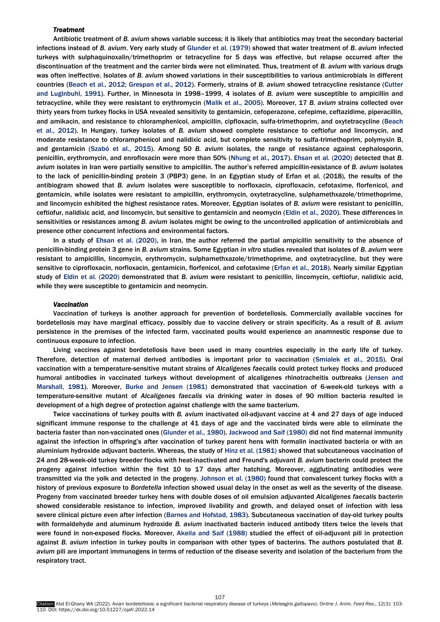# *Treatment*

Antibiotic treatment of *B. avium* shows variable success; it is likely that antibiotics may treat the secondary bacterial infections instead of *B. avium*. Very early study of [Glunder et al. \(1979\)](#page-6-0) showed that water treatment of *B. avium* infected turkeys with sulphaquinoxalin/trimethoprim or tetracycline for 5 days was effective, but relapse occurred after the discontinuation of the treatment and the carrier birds were not eliminated. Thus, treatment of *B. avium* with various drugs was often ineffective. Isolates of *B. avium* showed variations in their susceptibilities to various antimicrobials in different countries [\(Beach et al., 2012; Grespan et al., 2012\).](#page-6-0) Formerly, strains of *B. avium* showed tetracycline resistance (Cutter [and Luginbuhl, 1991\).](#page-6-0) Further, in Minnesota in 1998–1999, 4 isolates of *B. avium* were susceptible to ampicillin and tetracycline, while they were resistant to erythromycin [\(Malik et al., 2005\).](#page-6-0) Moreover, 17 *B. avium* strains collected over thirty years from turkey flocks in USA revealed sensitivity to gentamicin, cefoperazone, cefepime, ceftazidime, piperacillin, and amikacin, and resistance to chloramphenicol, ampicillin, cipfloxacin, sulfa-trimethoprim, and oxytetracycline (Beach [et al., 2012\). I](#page-6-0)n Hungary, turkey isolates of *B. avium* showed complete resistance to ceftiofur and lincomycin, and moderate resistance to chloramphenicol and nalidixic acid, but complete sensitivity to sulfa-trimethoprim, polymyxin B, and gentamicin [\(Szabó et al., 2015\).](#page-6-0) Among 50 *B. avium* isolates, the range of resistance against cephalosporin, penicillin, erythromycin, and enrofloxacin were more than 50% [\(Nhung et al., 2017\). Ehsan et al. \(2020\)](#page-6-0) detected that *B. avium* isolates in Iran were partially sensitive to ampicillin. The author's referred ampicillin-resistance of *B. avium* isolates to the lack of penicillin-binding protein 3 (PBP3) gene. In an Egyptian study of Erfan et al. (2018), the results of the antibiogram showed that *B. avium* isolates were susceptible to norfloxacin, ciprofloxacin, cefotaxime, florfenicol, and gentamicin, while isolates were resistant to ampicillin, erythromycin, oxytetracycline, sulphamethxazole/trimethoprime, and lincomycin exhibited the highest resistance rates. Moreover, Egyptian isolates of *B. avium* were resistant to penicillin, ceftiofur, nalidixic acid, and lincomycin, but sensitive to gentamicin and neomycin ([Eldin et al., 2020](#page-6-0)). These differences in sensitivities or resistances among *B. avium* isolates might be owing to the uncontrolled application of antimicrobials and presence other concurrent infections and environmental factors.

In a study of E[hsan et al. \(2020](#page-6-0)), in Iran, the author referred the partial ampicillin sensitivity to the absence of penicillin-binding protein 3 gene in *B. avium* strains. Some Egyptian *in vitro* studies revealed that isolates of *B. avium* were resistant to ampicillin, lincomycin, erythromycin, sulphamethxazole/trimethoprime, and oxytetracycline, but they were sensitive to ciprofloxacin, norfloxacin, gentamicin, florfenicol, and cefotaxime ([Erfan et al., 2018](#page-6-0)). Nearly similar Egyptian study of [Eldin et al. \(2020](#page-6-0)) demonstrated that *B. avium* were resistant to penicillin, lincomycin, ceftiofur, nalidixic acid, while they were susceptible to gentamicin and neomycin.

# *Vaccination*

Vaccination of turkeys is another approach for prevention of bordetellosis. Commercially available vaccines for bordetellosis may have marginal efficacy, possibly due to vaccine delivery or strain specificity. As a result of *B. avium* persistence in the premises of the infected farm, vaccinated poults would experience an anamnestic response due to continuous exposure to infection.

Living vaccines against bordetellosis have been used in many countries especially in the early life of turkey. Therefore, detection of maternal derived antibodies is important prior to vaccination [\(Smialek et al., 2015\).](#page-6-0) Oral vaccination with a temperature-sensitive mutant strains of *Alcaligenes faecalis* could protect turkey flocks and produced humoral antibodies in vaccinated turkeys without development of alcaligenes rhinotracheitis outbrea[ks \(Jensen and](#page-6-0)  [Marshall, 1981\).](#page-6-0) Moreover, [Burke and Jensen \(1981\)](#page-6-0) demonstrated that vaccination of 6-week-old turkeys with a temperature-sensitive mutant of *Alcaligenes faecalis* via drinking water in doses of 90 million bacteria resulted in development of a high degree of protection against challenge with the same bacterium.

Twice vaccinations of turkey poults with *B. avium* inactivated oil-adjuvant vaccine at 4 and 27 days of age induced significant immune response to the challenge at 41 days of age and the vaccinated birds were able to eliminate the bacteria faster than non-vaccinated ones [\(Glunder et al., 1980\). Jackwood and Saif \(1980\)](#page-6-0) did not find maternal immunity against the infection in offspring's after vaccination of turkey parent hens with formalin inactivated bacteria or with an aluminium hydroxide adjuvant bacterin. Whereas, the study of [Hinz et al. \(1981](#page-6-0)) showed that subcutaneous vaccination of 24 and 28-week-old turkey breeder flocks with heat-inactivated and Freund's adjuvant *B. avium* bacterin could protect the progeny against infection within the first 10 to 17 days after hatching. Moreover, agglutinating antibodies were transmitted via the yolk and detected in the progeny. [Johnson et](#page-6-0) al. (1980) found that convalescent turkey flocks with a history of previous exposure to *Bordetella* infection showed usual delay in the onset as well as the severity of the disease. Progeny from vaccinated breeder turkey hens with double doses of oil emulsion adjuvanted *Alcaligenes faecalis* bacterin showed considerable resistance to infection, improved livability and growth, and delayed onset of infection with less severe clinical picture even after infection [\(Barnes and Hofstad, 1983\).](#page-6-0) Subcutaneous vaccination of day-old turkey poults with formaldehyde and aluminum hydroxide *B. avium* inactivated bacterin induced antibody titers twice the levels that were found in non-exposed flocks. Moreover, [Akeila and Saif \(1988\)](#page-6-0) studied the effect of oil-adjuvant pili in protection against *B. avium* infection in turkey poults in comparison with other types of bacterins. The authors postulated that *B. avium* pili are important immunogens in terms of reduction of the disease severity and isolation of the bacterium from the respiratory tract.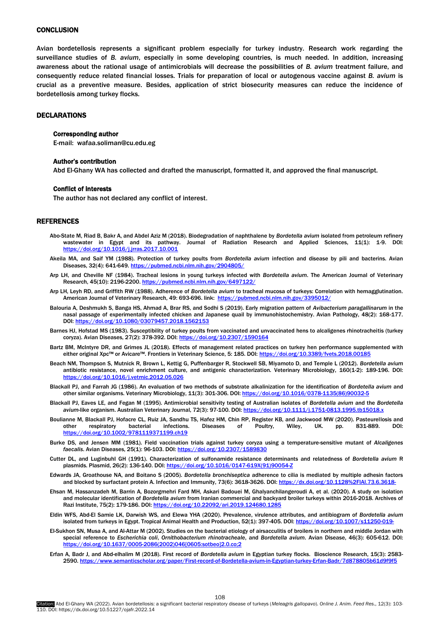# <span id="page-5-0"></span>**CONCLUSION**

Avian bordetellosis represents a significant problem especially for turkey industry. Research work regarding the surveillance studies of *B. avium*, especially in some developing countries, is much needed. In addition, increasing awareness about the rational usage of antimicrobials will decrease the possibilities of *B. avium* treatment failure, and consequently reduce related financial losses. Trials for preparation of local or autogenous vaccine against *B. avium* is crucial as a preventive measure. Besides, application of strict biosecurity measures can reduce the incidence of bordetellosis among turkey flocks.

#### DECLARATIONS

#### Corresponding author

E-mail: wafaa.soliman@cu.edu.eg

#### Author's contribution

Abd El-Ghany WA has collected and drafted the manuscript, formatted it, and approved the final manuscript.

#### Conflict of interests

The author has not declared any conflict of interest.

# REFERENCES

- Abo-State M, Riad B, Bakr A, and Abdel Aziz M (2018). Biodegradation of naphthalene by *Bordetella avium* isolated from petroleum refinery wastewater in Egypt and its pathway. Journal of Radiation Research and Applied Sciences, 11(1): 1-9. DOI: <https://doi.org/10.1016/j.jrras.2017.10.001>
- Akeila MA, and Saif YM (1988). Protection of turkey poults from *Bordetella avium* infection and disease by pili and bacterins. Avian Diseases, 32(4): 641-649. https://pubmed.ncbi.nlm.nih.gov/2904805
- Arp LH, and Cheville NF (1984). Tracheal lesions in young turkeys infected with *Bordetella avium*. The American Journal of Veterinary Research, 45(10): 2196-2200[. https://pubmed.ncbi.nlm.nih.gov/6497122/](https://pubmed.ncbi.nlm.nih.gov/6497122/)
- Arp LH, Leyh RD, and Griffith RW (1988). Adherence of *Bordetella avium* to tracheal mucosa of turkeys: Correlation with hemagglutination. American Journal of Veterinary Research, 49: 693-696. link: https://pubmed.ncbi.nlm.nih.a
- Balouria A, Deshmukh S, Banga HS, Ahmad A, Brar RS, and Sodhi S (2019). Early migration pattern of *Avibacterium paragallinarum* in the nasal passage of experimentally infected chicken and Japanese quail by immunohistochemistry. Avian Pathology, 48(2): 168-177. DOI[: https://doi.org/10.1080/03079457.2018.1562153](https://doi.org/10.1080/03079457.2018.1562153)
- Barnes HJ, Hofstad MS (1983). Susceptibility of turkey poults from vaccinated and unvaccinated hens to alcaligenes rhinotracheitis (turkey coryza). Avian Diseases, 27(2): 378-392. DOI[: https://doi.org/10.2307/1590164](https://doi.org/10.2307/1590164)
- Bartz BM, McIntyre DR, and Grimes JL (2018). Effects of management related practices on turkey hen performance supplemented with either original Xpc™ or Avicare™. Frontiers in Veterinary Science, 5: 185. DOI: <https://doi.org/10.3389/fvets.2018.00185>
- Beach NM, Thompson S, Mutnick R, Brown L, Kettig G, Puffenbarger R, Stockwell SB, Miyamoto D, and Temple L (2012). *Bordetella avium* antibiotic resistance, novel enrichment culture, and antigenic characterization. Veterinary Microbiology, 160(1-2): 189-196. DOI: https://doi.org/10.1016/j.vetmic.2
- Blackall PJ, and Farrah JG (1986). An evaluation of two methods of substrate alkalinization for the identification of *Bordetella avium* and other similar organisms. Veterinary Microbiology, 11(3): 301-306. DOI: https://doi.org/10.1016/0378-1135(86)90032
- Blackall PJ, Eaves LE, and Fegan M (1995). Antimicrobial sensitivity testing of Australian isolates of *Bordetella avium* and the *Bordetella*  avium-like organism. Australian Veterinary Journal, 72(3): 97-100. DOI: https://doi.org/10.11/
- Boulianne M, Blackall PJ, Hofacre CL, Ruiz JA, Sandhu TS, Hafez HM, Chin RP, Register KB, and Jackwood MW (2020). Pasteurellosis and other respiratory bacterial infections. Diseases of Poultry, Wiley, UK. pp. 831-889. DOI: <https://doi.org/10.1002/9781119371199.ch19>
- Burke DS, and Jensen MM (1981). Field vaccination trials against turkey coryza using a temperature-sensitive mutant of *Alcaligenes faecalis*. Avian Diseases, 25(1): 96-103. DOI[: https://doi.org/10.2307/1589830](https://doi.org/10.2307/1589830)
- Cutter DL, and LuginbuhI GH (1991). Characterization of sulfonamide resistance determinants and relatedness of *Bordetella avium* R plasmids. Plasmid, 26(2): 136-140. DOI: https://doi.org/10.1016/0147-619X(91)90054-7
- Edwards JA, Groathouse NA, and Boitano S (2005). *Bordetella bronchiseptica* adherence to cilia is mediated by multiple adhesin factors and blocked by surfactant protein A. Infection and Immunity, 73(6): 3618-3626. DOI: https://dx.doi.org/10.1128%2FIAI.73.6.3618
- Ehsan M, Hassanzadeh M, Barrin A, Bozorgmehri Fard MH, Askari Badouei M, Ghalyanchilangeroudi A, et al. (2020). A study on isolation and molecular identification of *Bordetella avium* from Iranian commercial and backyard broiler turkeys within 2016-2018. Archives of Razi Institute, 75(2): 179-186. DOI: https://doi.org/10.22092/ari.2019.124680.12
- Eldin WFS, Abd-El Samie LK, Darwish WS, and Elewa YHA (2020). Prevalence, virulence attributes, and antibiogram of *Bordetella avium* isolated from turkeys in Egypt. Tropical Animal Health and Production, 52(1): 397-405. DOI: https://doi.org/10.1007/s11250-019
- El-Sukhon SN, Musa A, and Al-Attar M (2002). Studies on the bacterial etiology of airsacculitis of broilers in northern and middle Jordan with special reference to *Escherichia coli*, *Ornithobacterium rhinotracheale*, and *Bordetella avium*. Avian Disease, 46(3): 605-612. DOI: [https://doi.org/10.1637/0005-2086\(2002\)046\[0605:sotbeo\]2.0.co;2](https://doi.org/10.1637/0005-2086(2002)046%5b0605:sotbeo%5d2.0.co;2)
- Erfan A, Badr J, and Abd-elhalim M (2018). First record of *Bordetella avium* in Egyptian turkey flocks. Bioscience Research, 15(3): 2583- 2590[. https://www.semanticscholar.org/paper/First-record-of-Bordetella-avium-in-Egyptian-turkey-Erfan-Badr/7d878805b61d9f9f5](https://www.semanticscholar.org/paper/First-record-of-Bordetella-avium-in-Egyptian-turkey-Erfan-Badr/7d878805b61d9f9f5)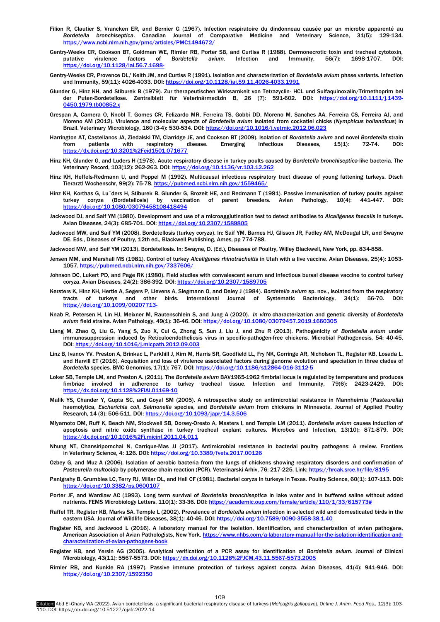- <span id="page-6-0"></span>Filion R, Clautier S, Vrancken ER, and Bernier G (1967). Infection respiratoire du dindonneau causée par un microbe apparenté au *Bordetella bronchiseptica*. Canadian Journal of Comparative Medicine and Veterinary Science, 31(5): 129-134. <https://www.ncbi.nlm.nih.gov/pmc/articles/PMC1494672/>
- Gentry-Weeks CR, Cookson BT, Goldman WE, Rimler RB, Porter SB, and Curtiss R (1988). Dermonecrotic toxin and tracheal cytotoxin, putative virulence factors of *Bordetella avium*. Infection and Immunity, 56(7): 1698-1707. DOI: httne://doi.org/10.1128/jai.56.7.1698-
- Gentry-Weeks CR, Provence DL,' Keith JM, and Curtiss R (1991). Isolation and characterization of *Bordetella avium* phase variants. Infection and Immunity, 59(11): 4026-4033, DOI: https://doi.org/10.1128/jai.59.11.4026-4033.199
- Glunder G, Hinz KH, and Stiburek B (1979). Zur therapeutischen Wirksamkeit von Tetrazyclin- HCL und Sulfaquinoxalin/Trimethoprim bei der Puten-Bordetellose. Zentralblatt für Veterinärmedizin B, 26 (7): 591-602. DOI: [https://doi.org/10.1111/j.1439-](https://doi.org/10.1111/j.1439-0450.1979.tb00852.x) [0450.1979.tb00852.x](https://doi.org/10.1111/j.1439-0450.1979.tb00852.x)
- Grespan A, Camera O, Knobl T, Gomes CR, Felizardo MR, Ferreira TS, Gobbi DD, Moreno M, Sanches AA, Ferreira CS, Ferreira AJ, and Moreno AM (2012). Virulence and molecular aspects of *Bordetella avium* isolated from cockatiel chicks (*Nymphicus hollandicus*) in Brazil. Veterinary Microbiology, 160 (3-4): 530-534. DOI[: https://doi.org/10.1016/j.vetmic.2012.06.023](https://doi.org/10.1016/j.vetmic.2012.06.023)
- Harrington AT, Castellanos JA, Ziedalski TM, Clarridge JE, and Cookson BT (2009). Isolation of *Bordetella avium* and novel *Bordetella* strain from patients with respiratory disease. Emerging Infectious Diseases, 15(1): 72-74. DOI: <https://dx.doi.org/10.3201%2Feid1501.071677>
- Hinz KH, Glunder G, and Luders H (1978). Acute respiratory disease in turkey poults caused by *Bordetella bronchiseptica*-like bacteria. The Veterinary Record, 103(12): 262-263. DOI[: https://doi.org/10.1136/vr.103.12.262](https://doi.org/10.1136/vr.103.12.262)
- Hinz KH, Heffels-Redmann U, and Poppel M (1992). Multicausal infectious respiratory tract disease of young fattening turkeys. Dtsch Tierarztl Wochenschr, 99(2): 75-78. https://pubmed.ncbi.nlm.nih.gov/15
- Hinz KH, Korthas G, Lu¨ders H, Stiburek B, Glunder G, Brozeit HE, and Redmann T (1981). Passive immunisation of turkey poults against turkey coryza (Bordetellosis) by vaccination of parent breeders. Avian Pathology, 10(4): 441-447. DOI: <https://doi.org/10.1080/03079458108418494>
- Jackwood DJ, and Saif YM (1980). Development and use of a microagglutination test to detect antibodies to *Alcaligenes faecalis* in turkeys. Avian Diseases, 24(3): 685-701. DOI: https://doi.org/10.2307/158980
- Jackwood MW, and Saif YM (2008). Bordetellosis (turkey coryza). In: Saif YM, Barnes HJ, Glisson JR, Fadley AM, McDougal LR, and Swayne DE. Eds., Diseases of Poultry, 12th ed., Blackwell Publishing, Ames, pp 774-788.
- Jackwood MW, and Saif YM (2013). Bordetellosis. In: Swayne, D. (Ed.), Diseases of Poultry, Willey Blackwell, New York, pp. 834-858.
- Jensen MM, and Marshall MS (1981). Control of turkey *Alcaligenes rhinotracheitis* in Utah with a live vaccine. Avian Diseases, 25(4): 1053- 1057[. https://pubmed.ncbi.nlm.nih.gov/7337606/](https://pubmed.ncbi.nlm.nih.gov/7337606/)
- Johnson DC, Lukert PD, and Page RK (1980). Field studies with convalescent serum and infectious bursal disease vaccine to control turkey coryza. Avian Diseases, 24(2): 386-392. DOI[: https://doi.org/10.2307/1589705](https://doi.org/10.2307/1589705)
- Kersters K, Hinz KH, Hertle A, Segers P, Lievens A, Siegmann O, and Deley J (1984). *Bordetella avium* sp. nov., isolated from the respiratory tracts of turkeys and other birds. International Journal of Systematic Bacteriology, 34(1): 56-70. DOI: <https://doi.org/10.1099/00207713->
- Knab R, Petersen H, Lin HJ, Meixner M, Rautenschlein S, and Jung A (2020). *In vitro* characterization and genetic diversity of *Bordetella avium* field strains. Avian Pathology, 49(1): 36-46. DOI: https://doi.org/10.1080/03079457.2019.16603
- Liang M, Zhao Q, Liu G, Yang S, Zuo X, Cui G, Zhong S, Sun J, Liu J, and Zhu R (2013). Pathogenicity of *Bordetella avium* under immunosuppression induced by Reticuloendotheliosis virus in specific-pathogen-free chickens. Microbial Pathogenesis, 54: 40-45. DOI[: https://doi.org/10.1016/j.micpath.2012.09.003](https://doi.org/10.1016/j.micpath.2012.09.003)
- Linz B, Ivanov YV, Preston A, Brinkac L, Parkhill J, Kim M, Harris SR, Goodfield LL, Fry NK, Gorringe AR, Nicholson TL, Register KB, Losada L, and Harvill ET (2016). Acquisition and loss of virulence associated factors during genome evolution and speciation in three clades of *Bordetella* species. BMC Genomics, 17(1): 767. DOI[: https://doi.org/10.1186/s12864-016-3112-5](https://doi.org/10.1186/s12864-016-3112-5)
- Loker SB, Temple LM, and Preston A. (2011). The *Bordetella avium* BAV1965-1962 fimbrial locus is regulated by temperature and produces fimbriae involved in adherence to turkey tracheal tissue. Infection and Immunity, 79(6): 2423-2429. DOI: <https://dx.doi.org/10.1128%2FIAI.01169-10>
- Malik YS, Chander Y, Gupta SC, and Goyal SM (2005). A retrospective study on antimicrobial resistance in Mannheimia (*Pasteurella*) haemolytica, *Escherichia coli*, *Salmonella* species, and *Bordetella avium* from chickens in Minnesota. Journal of Applied Poultry Research, 14 (3): 506-511. DOI[: https://doi.org/10.1093/japr/14.3.506](https://doi.org/10.1093/japr/14.3.506)
- Miyamoto DM, Ruff K, Beach NM, Stockwell SB, Dorsey-Oresto A, Masters I, and Temple LM (2011). *Bordetella avium* causes induction of apoptosis and nitric oxide synthase in turkey tracheal explant cultures. Microbes and Infection, 13(10): 871-879. DOI: <https://dx.doi.org/10.1016%2Fj.micinf.2011.04.011>
- Nhung NT, Chansiripornchai N, Carrique-Mas JJ (2017). Antimicrobial resistance in bacterial poultry pathogens: A review. Frontiers in Veterinary Science, 4: 126. DOI[: https://doi.org/10.3389/fvets.2017.00126](https://doi.org/10.3389/fvets.2017.00126)
- Ozbey G, and Muz A (2006). Isolation of aerobic bacteria from the lungs of chickens showing respiratory disorders and confirmation of Pasteurella multocida by polymerase chain reaction (PCR). Veterinarski Arhiv, 76: 217-225. Link[: https://hrcak.srce.hr/file/8195](https://hrcak.srce.hr/file/8195)
- Panigrahy B, Grumbles LC, Terry RJ, Millar DL, and Hall CF (1981). Bacterial coryza in turkeys in Texas. Poultry Science, 60(1): 107-113. DOI: <https://doi.org/10.3382/ps.0600107>
- Porter JF, and Wardlaw AC (1993). Long term survival of *Bordetella bronchiseptica* in lake water and in buffered saline without added nutrients. FEMS Microbiology Letters, 110(1): 33-36. DOI[: https://academic.oup.com/femsle/article/110/1/33/615773#](https://academic.oup.com/femsle/article/110/1/33/615773)
- Raffel TR, Register KB, Marks SA, Temple L (2002). Prevalence of *Bordetella avium* infection in selected wild and domesticated birds in the eastern USA. Journal of Wildlife Diseases, 38(1): 40-46. DOI[: https://doi.org/10.7589/0090-3558-38.1.40](https://doi.org/10.7589/0090-3558-38.1.40)
- Register KB, and Jackwood L (2016). A laboratory manual for the isolation, identification, and characterization of avian pathogens, American Association of Avian Pathologists, New York. [https://www.nhbs.com/a-laboratory-manual-for-the-isolation-identification-and](https://www.nhbs.com/a-laboratory-manual-for-the-isolation-identification-and-characterization-of-avian-pathogens-book)[characterization-of-avian-pathogens-book](https://www.nhbs.com/a-laboratory-manual-for-the-isolation-identification-and-characterization-of-avian-pathogens-book)
- Register KB, and Yersin AG (2005). Analytical verification of a PCR assay for identification of *Bordetella avium*. Journal of Clinical Microbiology, 43(11): 5567-5573. DOI[: https://dx.doi.org/10.1128%2FJCM.43.11.5567-5573.2005](https://dx.doi.org/10.1128%2FJCM.43.11.5567-5573.2005)
- Rimler RB, and Kunkle RA (1997). Passive immune protection of turkeys against coryza. Avian Diseases, 41(4): 941-946. DOI: <https://doi.org/10.2307/1592350>